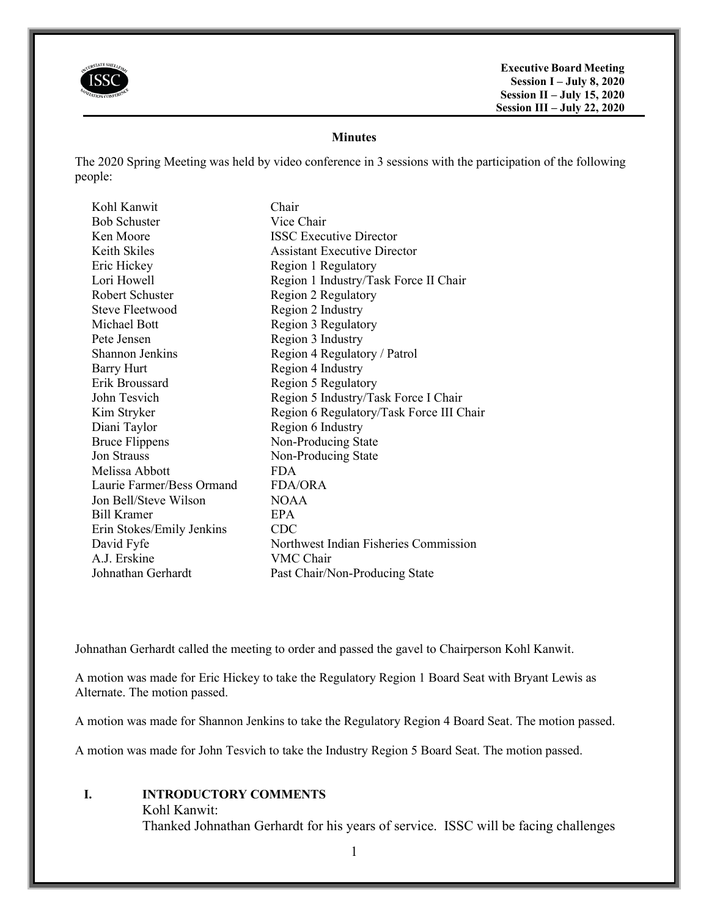

**Executive Board Meeting Session I – July 8, 2020 Session II – July 15, 2020 Session III – July 22, 2020**

# **Minutes**

The 2020 Spring Meeting was held by video conference in 3 sessions with the participation of the following people:

| Kohl Kanwit               | Chair                                    |
|---------------------------|------------------------------------------|
| <b>Bob Schuster</b>       | Vice Chair                               |
| Ken Moore                 | <b>ISSC Executive Director</b>           |
| Keith Skiles              | <b>Assistant Executive Director</b>      |
| Eric Hickey               | Region 1 Regulatory                      |
| Lori Howell               | Region 1 Industry/Task Force II Chair    |
| Robert Schuster           | Region 2 Regulatory                      |
| Steve Fleetwood           | Region 2 Industry                        |
| Michael Bott              | Region 3 Regulatory                      |
| Pete Jensen               | Region 3 Industry                        |
| Shannon Jenkins           | Region 4 Regulatory / Patrol             |
| <b>Barry Hurt</b>         | Region 4 Industry                        |
| Erik Broussard            | Region 5 Regulatory                      |
| John Tesvich              | Region 5 Industry/Task Force I Chair     |
| Kim Stryker               | Region 6 Regulatory/Task Force III Chair |
| Diani Taylor              | Region 6 Industry                        |
| <b>Bruce Flippens</b>     | Non-Producing State                      |
| Jon Strauss               | Non-Producing State                      |
| Melissa Abbott            | <b>FDA</b>                               |
| Laurie Farmer/Bess Ormand | FDA/ORA                                  |
| Jon Bell/Steve Wilson     | <b>NOAA</b>                              |
| <b>Bill Kramer</b>        | EPA                                      |
| Erin Stokes/Emily Jenkins | CDC                                      |
| David Fyfe                | Northwest Indian Fisheries Commission    |
| A.J. Erskine              | VMC Chair                                |
| Johnathan Gerhardt        | Past Chair/Non-Producing State           |

Johnathan Gerhardt called the meeting to order and passed the gavel to Chairperson Kohl Kanwit.

A motion was made for Eric Hickey to take the Regulatory Region 1 Board Seat with Bryant Lewis as Alternate. The motion passed.

A motion was made for Shannon Jenkins to take the Regulatory Region 4 Board Seat. The motion passed.

A motion was made for John Tesvich to take the Industry Region 5 Board Seat. The motion passed.

# **I. INTRODUCTORY COMMENTS**

#### Kohl Kanwit:

Thanked Johnathan Gerhardt for his years of service. ISSC will be facing challenges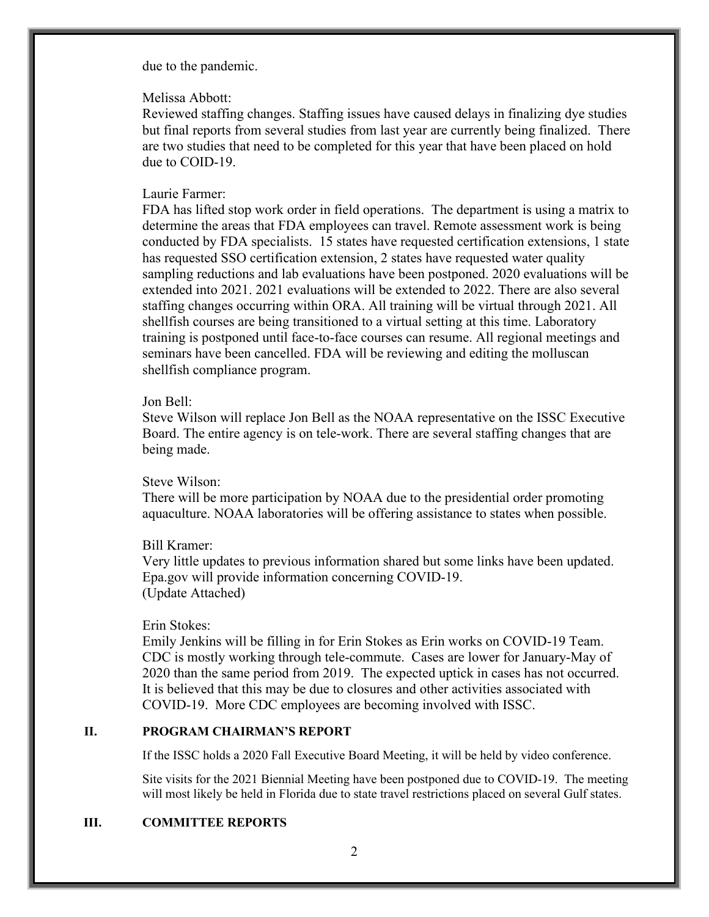due to the pandemic.

### Melissa Abbott:

Reviewed staffing changes. Staffing issues have caused delays in finalizing dye studies but final reports from several studies from last year are currently being finalized. There are two studies that need to be completed for this year that have been placed on hold due to COID-19.

# Laurie Farmer:

FDA has lifted stop work order in field operations. The department is using a matrix to determine the areas that FDA employees can travel. Remote assessment work is being conducted by FDA specialists. 15 states have requested certification extensions, 1 state has requested SSO certification extension, 2 states have requested water quality sampling reductions and lab evaluations have been postponed. 2020 evaluations will be extended into 2021. 2021 evaluations will be extended to 2022. There are also several staffing changes occurring within ORA. All training will be virtual through 2021. All shellfish courses are being transitioned to a virtual setting at this time. Laboratory training is postponed until face-to-face courses can resume. All regional meetings and seminars have been cancelled. FDA will be reviewing and editing the molluscan shellfish compliance program.

# Jon Bell:

Steve Wilson will replace Jon Bell as the NOAA representative on the ISSC Executive Board. The entire agency is on tele-work. There are several staffing changes that are being made.

### Steve Wilson:

There will be more participation by NOAA due to the presidential order promoting aquaculture. NOAA laboratories will be offering assistance to states when possible.

# Bill Kramer:

Very little updates to previous information shared but some links have been updated. Epa.gov will provide information concerning COVID-19. (Update Attached)

# Erin Stokes:

Emily Jenkins will be filling in for Erin Stokes as Erin works on COVID-19 Team. CDC is mostly working through tele-commute. Cases are lower for January-May of 2020 than the same period from 2019. The expected uptick in cases has not occurred. It is believed that this may be due to closures and other activities associated with COVID-19. More CDC employees are becoming involved with ISSC.

### **II. PROGRAM CHAIRMAN'S REPORT**

If the ISSC holds a 2020 Fall Executive Board Meeting, it will be held by video conference.

Site visits for the 2021 Biennial Meeting have been postponed due to COVID-19. The meeting will most likely be held in Florida due to state travel restrictions placed on several Gulf states.

# **III. COMMITTEE REPORTS**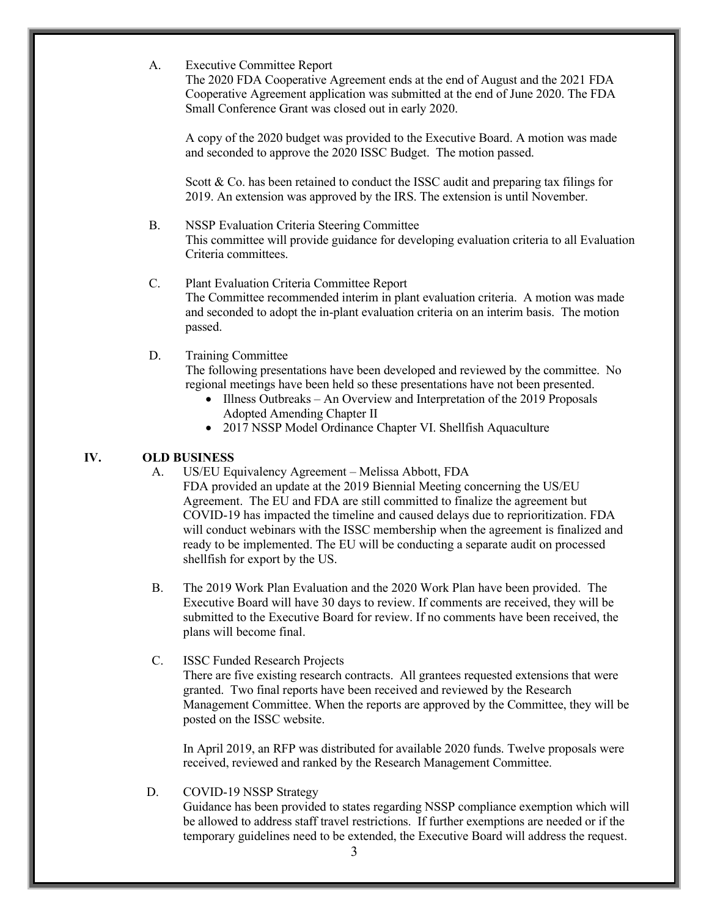A. Executive Committee Report

The 2020 FDA Cooperative Agreement ends at the end of August and the 2021 FDA Cooperative Agreement application was submitted at the end of June 2020. The FDA Small Conference Grant was closed out in early 2020.

A copy of the 2020 budget was provided to the Executive Board. A motion was made and seconded to approve the 2020 ISSC Budget. The motion passed.

Scott & Co. has been retained to conduct the ISSC audit and preparing tax filings for 2019. An extension was approved by the IRS. The extension is until November.

- B. NSSP Evaluation Criteria Steering Committee This committee will provide guidance for developing evaluation criteria to all Evaluation Criteria committees.
- C. Plant Evaluation Criteria Committee Report The Committee recommended interim in plant evaluation criteria. A motion was made and seconded to adopt the in-plant evaluation criteria on an interim basis. The motion passed.

## D. Training Committee

The following presentations have been developed and reviewed by the committee. No regional meetings have been held so these presentations have not been presented.

- Illness Outbreaks An Overview and Interpretation of the 2019 Proposals Adopted Amending Chapter II
- 2017 NSSP Model Ordinance Chapter VI. Shellfish Aquaculture

## **IV. OLD BUSINESS**

A. US/EU Equivalency Agreement – Melissa Abbott, FDA

FDA provided an update at the 2019 Biennial Meeting concerning the US/EU Agreement. The EU and FDA are still committed to finalize the agreement but COVID-19 has impacted the timeline and caused delays due to reprioritization. FDA will conduct webinars with the ISSC membership when the agreement is finalized and ready to be implemented. The EU will be conducting a separate audit on processed shellfish for export by the US.

B. The 2019 Work Plan Evaluation and the 2020 Work Plan have been provided. The Executive Board will have 30 days to review. If comments are received, they will be submitted to the Executive Board for review. If no comments have been received, the plans will become final.

#### C. ISSC Funded Research Projects

There are five existing research contracts. All grantees requested extensions that were granted. Two final reports have been received and reviewed by the Research Management Committee. When the reports are approved by the Committee, they will be posted on the ISSC website.

In April 2019, an RFP was distributed for available 2020 funds. Twelve proposals were received, reviewed and ranked by the Research Management Committee.

#### D. COVID-19 NSSP Strategy

Guidance has been provided to states regarding NSSP compliance exemption which will be allowed to address staff travel restrictions. If further exemptions are needed or if the temporary guidelines need to be extended, the Executive Board will address the request.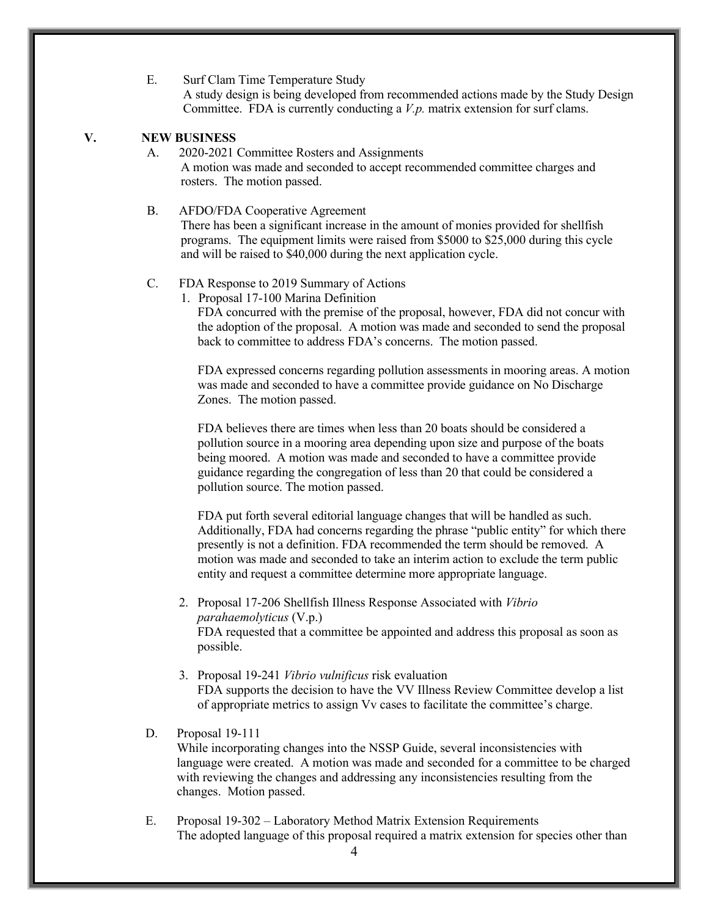E. Surf Clam Time Temperature Study A study design is being developed from recommended actions made by the Study Design Committee. FDA is currently conducting a *V.p.* matrix extension for surf clams.

## **V. NEW BUSINESS**

A. 2020-2021 Committee Rosters and Assignments A motion was made and seconded to accept recommended committee charges and rosters. The motion passed.

B. AFDO/FDA Cooperative Agreement There has been a significant increase in the amount of monies provided for shellfish programs. The equipment limits were raised from \$5000 to \$25,000 during this cycle and will be raised to \$40,000 during the next application cycle.

### C. FDA Response to 2019 Summary of Actions

1. Proposal 17-100 Marina Definition

FDA concurred with the premise of the proposal, however, FDA did not concur with the adoption of the proposal. A motion was made and seconded to send the proposal back to committee to address FDA's concerns. The motion passed.

FDA expressed concerns regarding pollution assessments in mooring areas. A motion was made and seconded to have a committee provide guidance on No Discharge Zones. The motion passed.

FDA believes there are times when less than 20 boats should be considered a pollution source in a mooring area depending upon size and purpose of the boats being moored. A motion was made and seconded to have a committee provide guidance regarding the congregation of less than 20 that could be considered a pollution source. The motion passed.

FDA put forth several editorial language changes that will be handled as such. Additionally, FDA had concerns regarding the phrase "public entity" for which there presently is not a definition. FDA recommended the term should be removed. A motion was made and seconded to take an interim action to exclude the term public entity and request a committee determine more appropriate language.

- 2. Proposal 17-206 Shellfish Illness Response Associated with *Vibrio parahaemolyticus* (V.p.) FDA requested that a committee be appointed and address this proposal as soon as possible.
- 3. Proposal 19-241 *Vibrio vulnificus* risk evaluation FDA supports the decision to have the VV Illness Review Committee develop a list of appropriate metrics to assign Vv cases to facilitate the committee's charge.

#### D. Proposal 19-111

While incorporating changes into the NSSP Guide, several inconsistencies with language were created. A motion was made and seconded for a committee to be charged with reviewing the changes and addressing any inconsistencies resulting from the changes. Motion passed.

E. Proposal 19-302 – Laboratory Method Matrix Extension Requirements The adopted language of this proposal required a matrix extension for species other than

4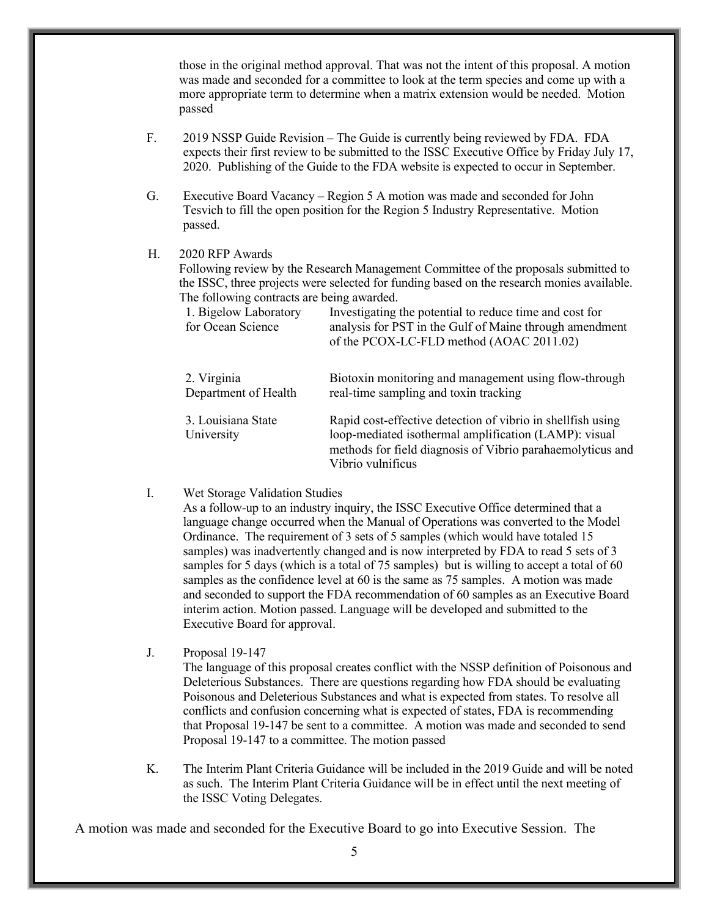those in the original method approval. That was not the intent of this proposal. A motion was made and seconded for a committee to look at the term species and come up with a more appropriate term to determine when a matrix extension would be needed. Motion passed

- F. 2019 NSSP Guide Revision The Guide is currently being reviewed by FDA. FDA expects their first review to be submitted to the ISSC Executive Office by Friday July 17, 2020. Publishing of the Guide to the FDA website is expected to occur in September.
- G. Executive Board Vacancy Region 5 A motion was made and seconded for John Tesvich to fill the open position for the Region 5 Industry Representative. Motion passed.

## H. 2020 RFP Awards

Following review by the Research Management Committee of the proposals submitted to the ISSC, three projects were selected for funding based on the research monies available. The following contracts are being awarded.

| 1. Bigelow Laboratory<br>for Ocean Science | Investigating the potential to reduce time and cost for<br>analysis for PST in the Gulf of Maine through amendment<br>of the PCOX-LC-FLD method (AOAC 2011.02)                                          |
|--------------------------------------------|---------------------------------------------------------------------------------------------------------------------------------------------------------------------------------------------------------|
| 2. Virginia<br>Department of Health        | Biotoxin monitoring and management using flow-through<br>real-time sampling and toxin tracking                                                                                                          |
| 3. Louisiana State<br>University           | Rapid cost-effective detection of vibrio in shellfish using<br>loop-mediated isothermal amplification (LAMP): visual<br>methods for field diagnosis of Vibrio parahaemolyticus and<br>Vibrio vulnificus |

## I. Wet Storage Validation Studies

As a follow-up to an industry inquiry, the ISSC Executive Office determined that a language change occurred when the Manual of Operations was converted to the Model Ordinance. The requirement of 3 sets of 5 samples (which would have totaled 15 samples) was inadvertently changed and is now interpreted by FDA to read 5 sets of 3 samples for 5 days (which is a total of 75 samples) but is willing to accept a total of 60 samples as the confidence level at 60 is the same as 75 samples. A motion was made and seconded to support the FDA recommendation of 60 samples as an Executive Board interim action. Motion passed. Language will be developed and submitted to the Executive Board for approval.

J. Proposal 19-147

The language of this proposal creates conflict with the NSSP definition of Poisonous and Deleterious Substances. There are questions regarding how FDA should be evaluating Poisonous and Deleterious Substances and what is expected from states. To resolve all conflicts and confusion concerning what is expected of states, FDA is recommending that Proposal 19-147 be sent to a committee. A motion was made and seconded to send Proposal 19-147 to a committee. The motion passed

K. The Interim Plant Criteria Guidance will be included in the 2019 Guide and will be noted as such. The Interim Plant Criteria Guidance will be in effect until the next meeting of the ISSC Voting Delegates.

A motion was made and seconded for the Executive Board to go into Executive Session. The